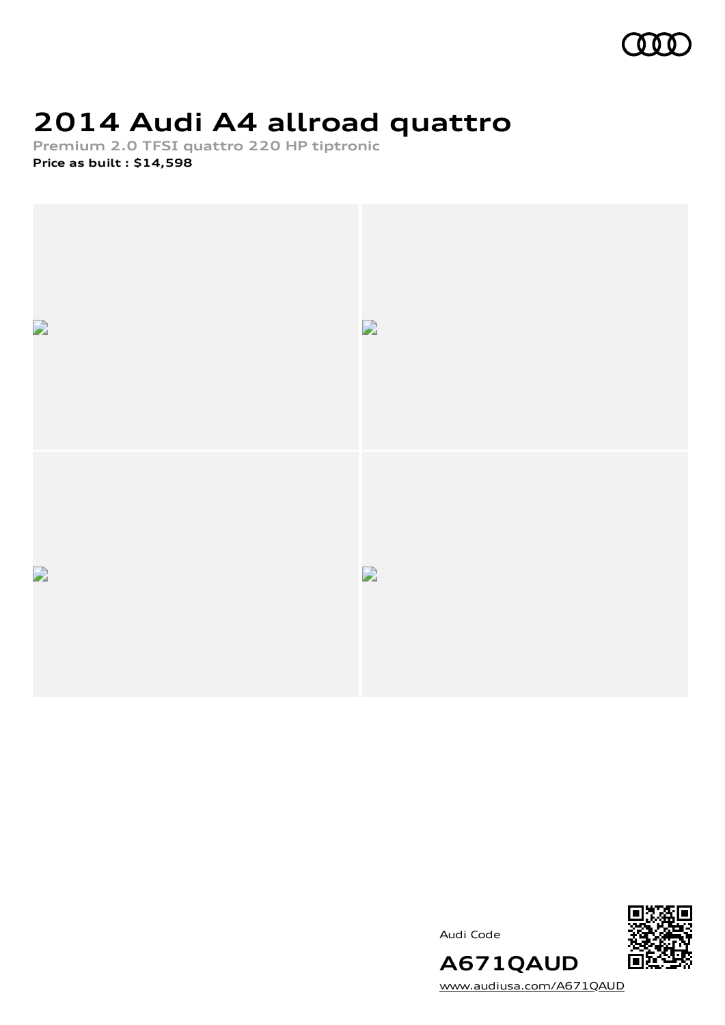

# **2014 Audi A4 allroad quattro**

**Premium 2.0 TFSI quattro 220 HP tiptronic Price as built [:](#page-10-0) \$14,598**



Audi Code



**A671QAUD** [www.audiusa.com/A671QAUD](https://www.audiusa.com/A671QAUD)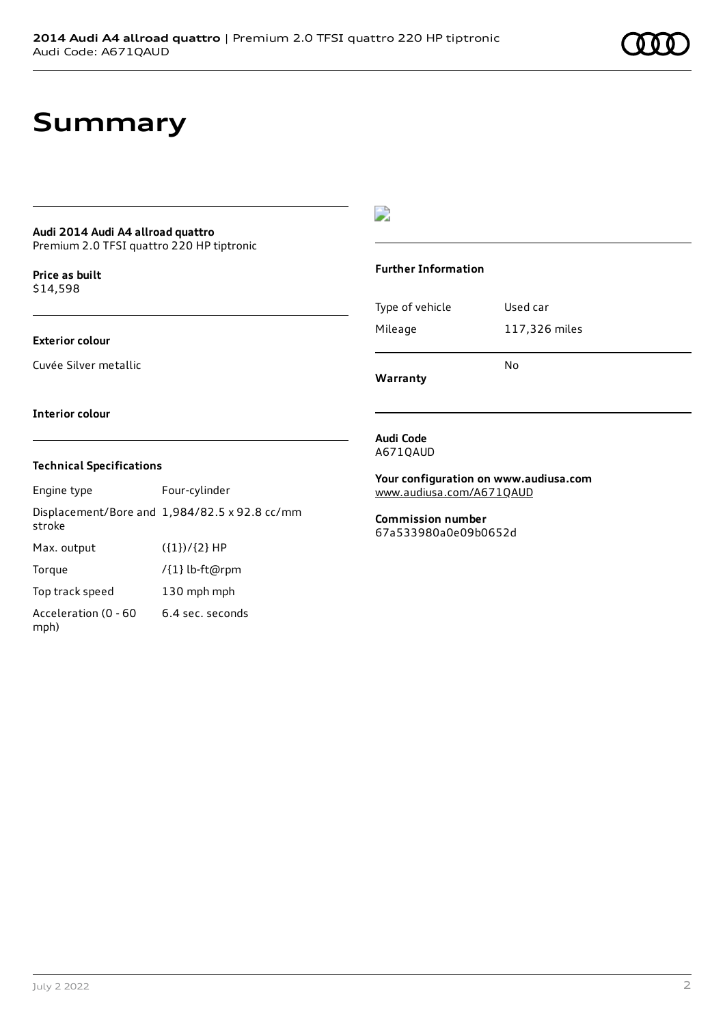# **Summary**

### **Audi 2014 Audi A4 allroad quattro**

Premium 2.0 TFSI quattro 220 HP tiptronic

**Price as buil[t](#page-10-0)** \$14,598

#### **Exterior colour**

Cuvée Silver metallic

### D

#### **Further Information**

|                 | N٥            |
|-----------------|---------------|
| Mileage         | 117,326 miles |
| Type of vehicle | Used car      |

**Warranty**

#### **Interior colour**

#### **Technical Specifications**

Engine type Four-cylinder Displacement/Bore and 1,984/82.5 x 92.8 cc/mm stroke Max. output  $({1})/{2}$  HP Torque /{1} lb-ft@rpm Top track speed 130 mph mph Acceleration (0 - 60 mph) 6.4 sec. seconds

**Audi Code** A671QAUD

**Your configuration on www.audiusa.com** [www.audiusa.com/A671QAUD](https://www.audiusa.com/A671QAUD)

**Commission number** 67a533980a0e09b0652d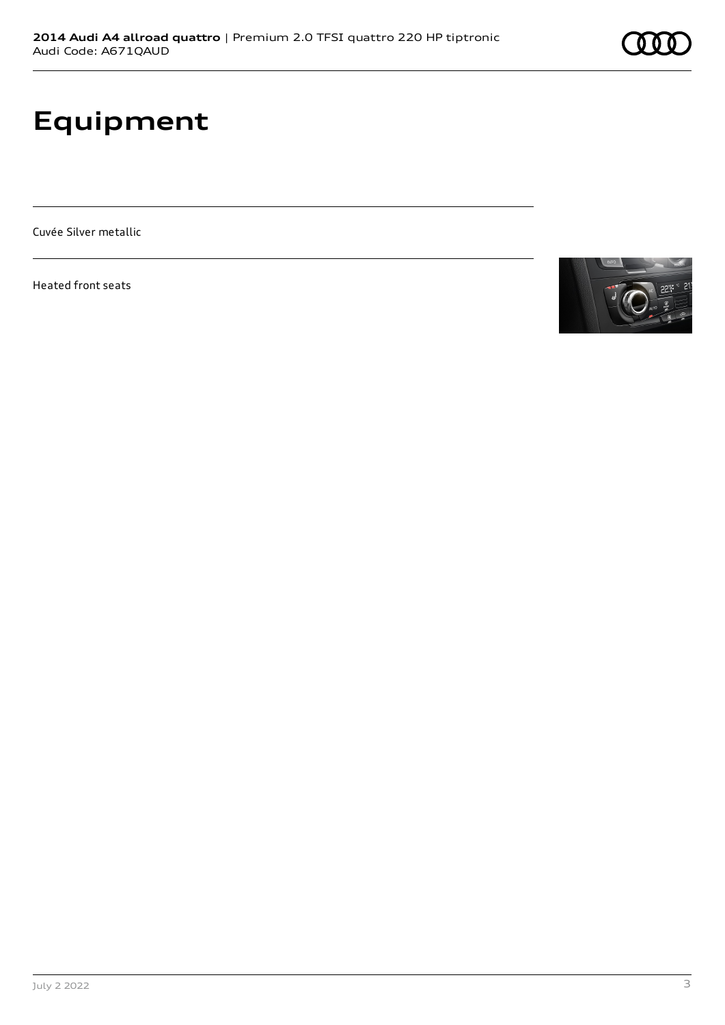# **Equipment**

Cuvée Silver metallic

Heated front seats

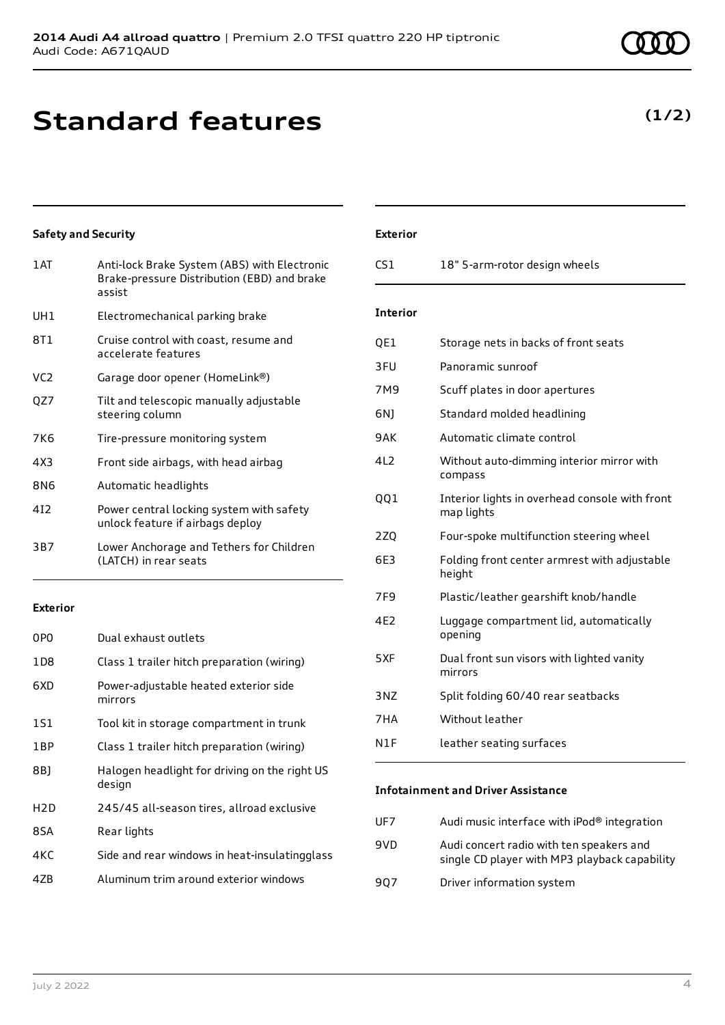# **Standard features**

### **Safety and Security**

| 1AT             | Anti-lock Brake System (ABS) with Electronic<br>Brake-pressure Distribution (EBD) and brake<br>assist |
|-----------------|-------------------------------------------------------------------------------------------------------|
| UH1             | Electromechanical parking brake                                                                       |
| 8T1             | Cruise control with coast, resume and<br>accelerate features                                          |
| VC <sub>2</sub> | Garage door opener (HomeLink®)                                                                        |
| QZ7             | Tilt and telescopic manually adjustable<br>steering column                                            |
| 7K6             | Tire-pressure monitoring system                                                                       |
| 4X3             | Front side airbags, with head airbag                                                                  |
| 8N6             | Automatic headlights                                                                                  |
| 412             | Power central locking system with safety<br>unlock feature if airbags deploy                          |
| 3B7             | Lower Anchorage and Tethers for Children<br>(LATCH) in rear seats                                     |

#### **Exterior**

| 0P <sub>0</sub>  | Dual exhaust outlets                                    |
|------------------|---------------------------------------------------------|
| 1D8              | Class 1 trailer hitch preparation (wiring)              |
| 6XD              | Power-adjustable heated exterior side<br>mirrors        |
| 1S1              | Tool kit in storage compartment in trunk                |
| 1BP              | Class 1 trailer hitch preparation (wiring)              |
| 8B)              | Halogen headlight for driving on the right US<br>design |
| H <sub>2</sub> D | 245/45 all-season tires, allroad exclusive              |
| 8SA              | Rear lights                                             |
| 4KC              | Side and rear windows in heat-insulatingglass           |
| 47B              | Aluminum trim around exterior windows                   |

### **Exterior**

| 18" 5-arm-rotor design wheels<br>CS1 |
|--------------------------------------|
|                                      |

### **Interior**

| QE1             | Storage nets in backs of front seats                         |
|-----------------|--------------------------------------------------------------|
| 3FU             | Panoramic sunroof                                            |
| 7M9             | Scuff plates in door apertures                               |
| 6N)             | Standard molded headlining                                   |
| 9AK             | Automatic climate control                                    |
| 4L2             | Without auto-dimming interior mirror with<br>compass         |
| QQ1             | Interior lights in overhead console with front<br>map lights |
| 2ZQ             | Four-spoke multifunction steering wheel                      |
| 6E3             | Folding front center armrest with adjustable<br>height       |
| 7F <sub>9</sub> | Plastic/leather gearshift knob/handle                        |
| 4F <sub>2</sub> | Luggage compartment lid, automatically<br>opening            |
| 5XF             | Dual front sun visors with lighted vanity<br>mirrors         |
| 3NZ             | Split folding 60/40 rear seatbacks                           |
| 7HA             | Without leather                                              |
| N1F             | leather seating surfaces                                     |

#### **Infotainment and Driver Assistance**

| UF7 | Audi music interface with iPod® integration                                               |
|-----|-------------------------------------------------------------------------------------------|
| 9VD | Audi concert radio with ten speakers and<br>single CD player with MP3 playback capability |
| 907 | Driver information system                                                                 |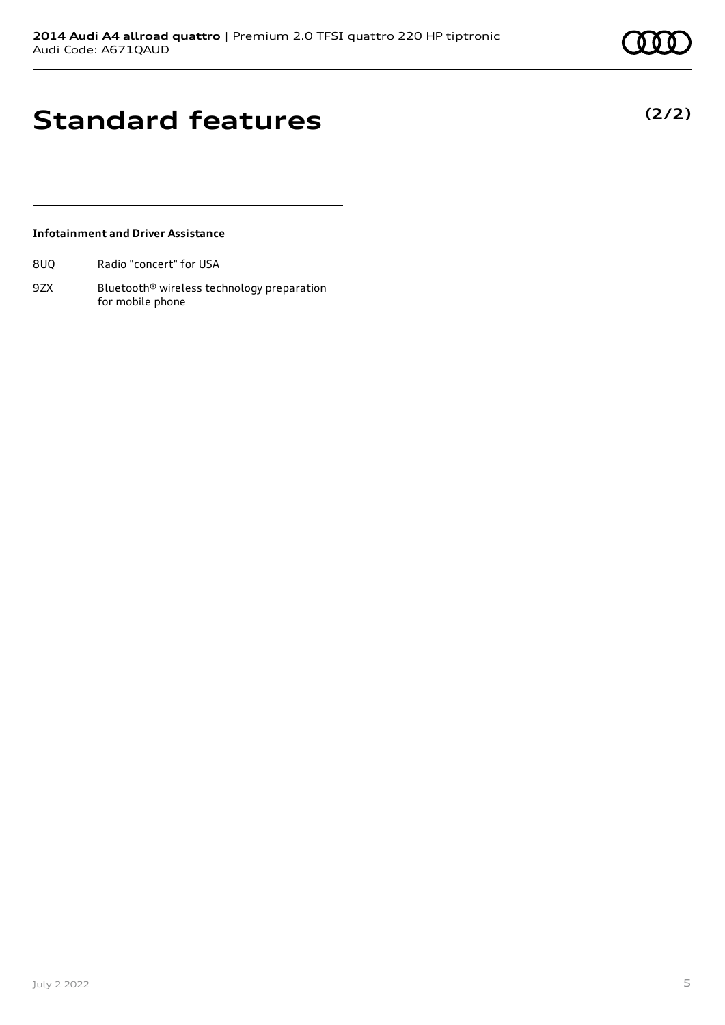# **Standard features**

### **Infotainment and Driver Assistance**

8UQ Radio "concert" for USA

9ZX Bluetooth<sup>®</sup> wireless technology preparation for mobile phone

July 2 2022 5

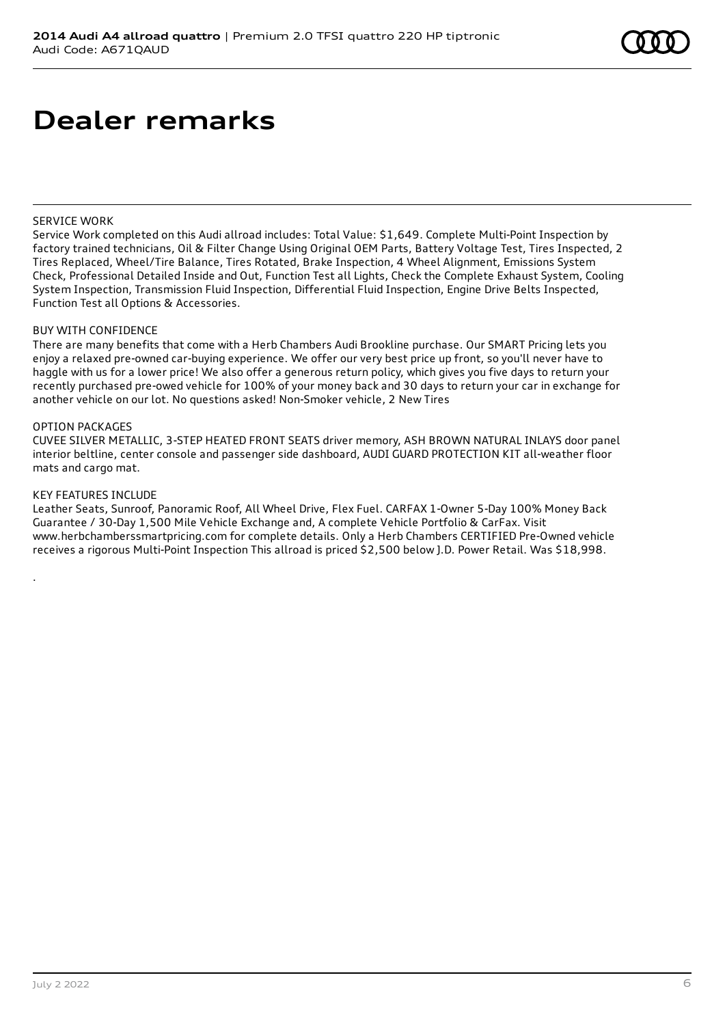# **Dealer remarks**

#### SERVICE WORK

Service Work completed on this Audi allroad includes: Total Value: \$1,649. Complete Multi-Point Inspection by factory trained technicians, Oil & Filter Change Using Original OEM Parts, Battery Voltage Test, Tires Inspected, 2 Tires Replaced, Wheel/Tire Balance, Tires Rotated, Brake Inspection, 4 Wheel Alignment, Emissions System Check, Professional Detailed Inside and Out, Function Test all Lights, Check the Complete Exhaust System, Cooling System Inspection, Transmission Fluid Inspection, Differential Fluid Inspection, Engine Drive Belts Inspected, Function Test all Options & Accessories.

#### BUY WITH CONFIDENCE

There are many benefits that come with a Herb Chambers Audi Brookline purchase. Our SMART Pricing lets you enjoy a relaxed pre-owned car-buying experience. We offer our very best price up front, so you'll never have to haggle with us for a lower price! We also offer a generous return policy, which gives you five days to return your recently purchased pre-owed vehicle for 100% of your money back and 30 days to return your car in exchange for another vehicle on our lot. No questions asked! Non-Smoker vehicle, 2 New Tires

#### OPTION PACKAGES

CUVEE SILVER METALLIC, 3-STEP HEATED FRONT SEATS driver memory, ASH BROWN NATURAL INLAYS door panel interior beltline, center console and passenger side dashboard, AUDI GUARD PROTECTION KIT all-weather floor mats and cargo mat.

#### KEY FEATURES INCLUDE

.

Leather Seats, Sunroof, Panoramic Roof, All Wheel Drive, Flex Fuel. CARFAX 1-Owner 5-Day 100% Money Back Guarantee / 30-Day 1,500 Mile Vehicle Exchange and, A complete Vehicle Portfolio & CarFax. Visit www.herbchamberssmartpricing.com for complete details. Only a Herb Chambers CERTIFIED Pre-Owned vehicle receives a rigorous Multi-Point Inspection This allroad is priced \$2,500 below J.D. Power Retail. Was \$18,998.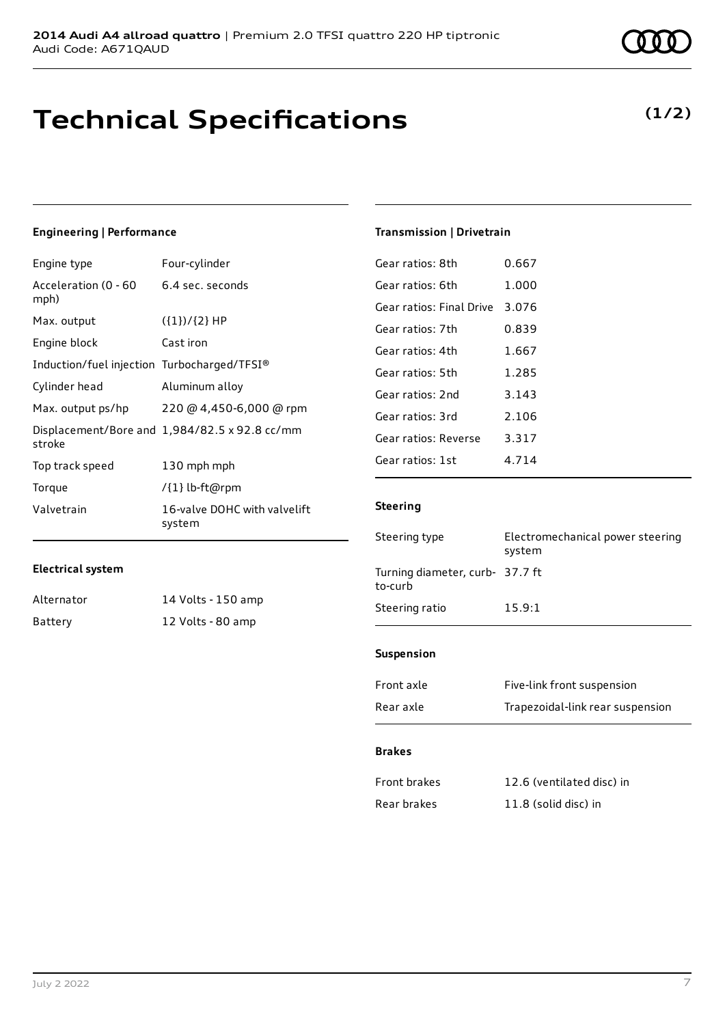# **Technical Specifications**

### **(1/2)**

### **Engineering | Performance**

| Engine type                                 | Four-cylinder                                 |
|---------------------------------------------|-----------------------------------------------|
| Acceleration (0 - 60<br>mph)                | 6.4 sec. seconds                              |
| Max. output                                 | $({1})/{2}$ HP                                |
| Engine block                                | Cast iron                                     |
| Induction/fuel injection Turbocharged/TFSI® |                                               |
| Cylinder head                               | Aluminum alloy                                |
| Max. output ps/hp                           | 220 @ 4,450-6,000 @ rpm                       |
| stroke                                      | Displacement/Bore and 1,984/82.5 x 92.8 cc/mm |
| Top track speed                             | 130 mph mph                                   |
| Torque                                      | /{1} lb-ft@rpm                                |
| Valvetrain                                  | 16-valve DOHC with valvelift<br>system        |

#### **Electrical system**

| Alternator | 14 Volts - 150 amp |
|------------|--------------------|
| Battery    | 12 Volts - 80 amp  |

### **Transmission | Drivetrain**

| Gear ratios: 8th         | 0.667   |
|--------------------------|---------|
| Gear ratios: 6th         | 1.000   |
| Gear ratios: Final Drive | 3.076   |
| Gear ratios: 7th         | 0.839   |
| Gear ratios: 4th         | 1.667   |
| Gear ratios: 5th         | 1.285   |
| Gear ratios: 2nd         | 3.143   |
| Gear ratios: 3rd         | 2.106   |
| Gear ratios: Reverse     | 3.317   |
| Gear ratios: 1st         | 4 7 1 4 |
|                          |         |

### **Steering**

| Steering type                              | Electromechanical power steering<br>system |
|--------------------------------------------|--------------------------------------------|
| Turning diameter, curb- 37.7 ft<br>to-curb |                                            |
| Steering ratio                             | 15.9:1                                     |
|                                            |                                            |

### **Suspension**

| Front axle | Five-link front suspension       |
|------------|----------------------------------|
| Rear axle  | Trapezoidal-link rear suspension |

#### **Brakes**

| Front brakes | 12.6 (ventilated disc) in |
|--------------|---------------------------|
| Rear brakes  | 11.8 (solid disc) in      |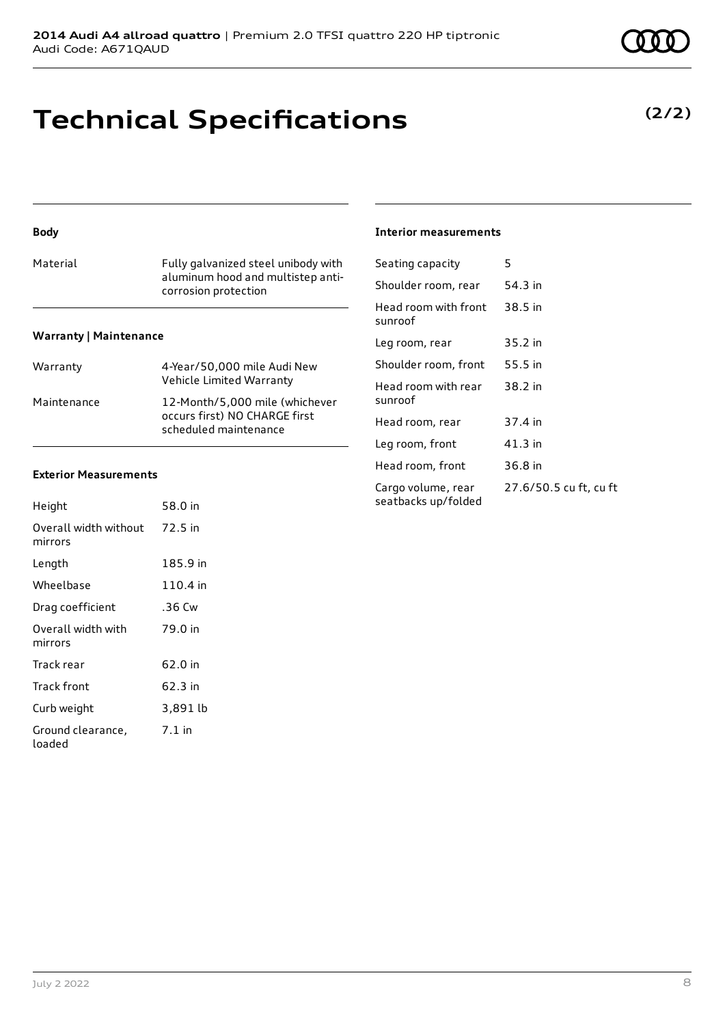# **Technical Specifications**

### **Body**

| Material                      | Fully galvanized steel unibody with<br>aluminum hood and multistep anti-<br>corrosion protection |
|-------------------------------|--------------------------------------------------------------------------------------------------|
| <b>Warranty   Maintenance</b> |                                                                                                  |
| Warranty                      | 4-Year/50,000 mile Audi New<br>Vehicle Limited Warranty                                          |
| Maintenance                   | 12-Month/5,000 mile (whichever                                                                   |

occurs first) NO CHARGE first scheduled maintenance

#### **Exterior Measurements**

| Height                           | 58.0 in  |
|----------------------------------|----------|
| Overall width without<br>mirrors | 72.5 in  |
| Length                           | 185.9 in |
| Wheelbase                        | 110.4 in |
| Drag coefficient                 | .36 Cw   |
| Overall width with<br>mirrors    | 79.0 in  |
| Track rear                       | 62.0 in  |
| Track front                      | 62.3 in  |
| Curb weight                      | 3,891 lb |
| Ground clearance,<br>loaded      | $7.1$ in |

#### **Interior measurements**

| Seating capacity                          | 5                      |
|-------------------------------------------|------------------------|
| Shoulder room, rear                       | 54.3 in                |
| Head room with front<br>sunroof           | 38.5 in                |
| Leg room, rear                            | 35.2 in                |
| Shoulder room, front                      | 55.5 in                |
| Head room with rear<br>sunroof            | 38.2 in                |
| Head room, rear                           | 37.4 in                |
| Leg room, front                           | 41.3 in                |
| Head room, front                          | 36.8 in                |
| Cargo volume, rear<br>seatbacks up/folded | 27.6/50.5 cu ft, cu ft |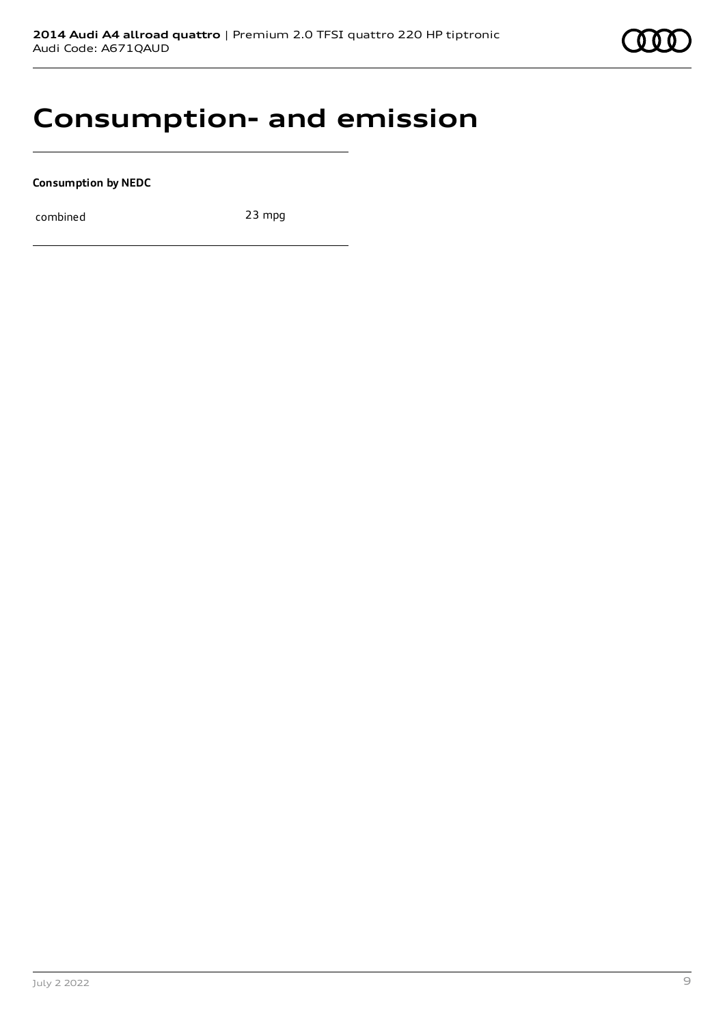

## **Consumption- and emission**

**Consumption by NEDC**

combined 23 mpg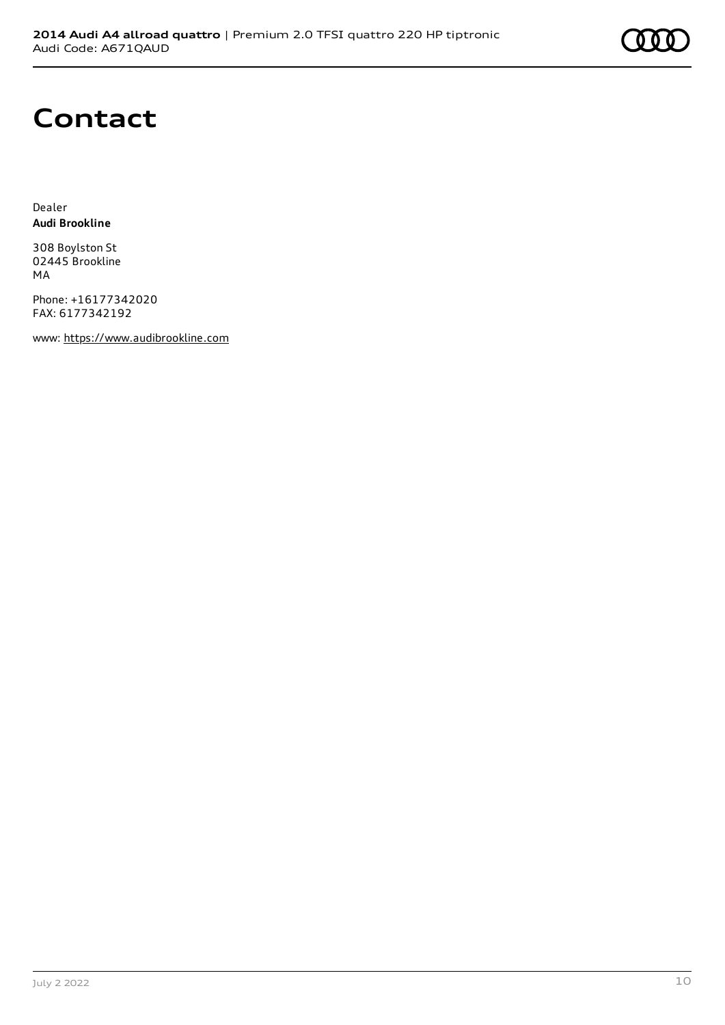# **Contact**

Dealer **Audi Brookline**

308 Boylston St 02445 Brookline MA

Phone: +16177342020 FAX: 6177342192

www: [https://www.audibrookline.com](https://www.audibrookline.com/)